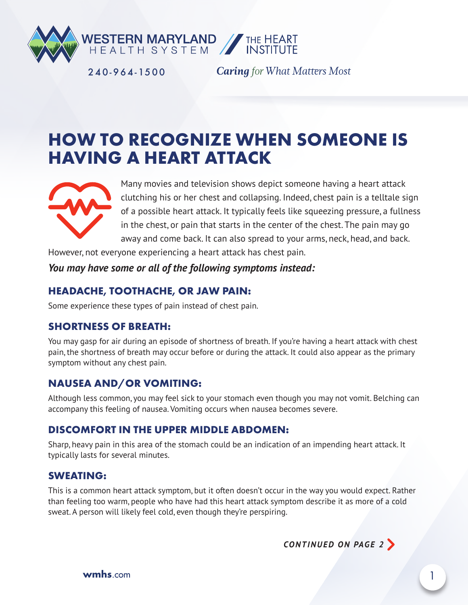

240-964-1500

**Caring** for What Matters Most

# **HOW TO RECOGNIZE WHEN SOMEONE IS HAVING A HEART ATTACK**



Many movies and television shows depict someone having a heart attack clutching his or her chest and collapsing. Indeed, chest pain is a telltale sign of a possible heart attack. It typically feels like squeezing pressure, a fullness in the chest, or pain that starts in the center of the chest. The pain may go away and come back. It can also spread to your arms, neck, head, and back.

However, not everyone experiencing a heart attack has chest pain.

#### *You may have some or all of the following symptoms instead:*

#### **HEADACHE, TOOTHACHE, OR JAW PAIN:**

Some experience these types of pain instead of chest pain.

## **SHORTNESS OF BREATH:**

You may gasp for air during an episode of shortness of breath. If you're having a heart attack with chest pain, the shortness of breath may occur before or during the attack. It could also appear as the primary symptom without any chest pain.

## **NAUSEA AND/OR VOMITING:**

Although less common, you may feel sick to your stomach even though you may not vomit. Belching can accompany this feeling of nausea. Vomiting occurs when nausea becomes severe.

#### **DISCOMFORT IN THE UPPER MIDDLE ABDOMEN:**

Sharp, heavy pain in this area of the stomach could be an indication of an impending heart attack. It typically lasts for several minutes.

#### **SWEATING:**

This is a common heart attack symptom, but it often doesn't occur in the way you would expect. Rather than feeling too warm, people who have had this heart attack symptom describe it as more of a cold sweat. A person will likely feel cold, even though they're perspiring.

*CONTINUED ON PAGE 2*

**wmhs**.com 1